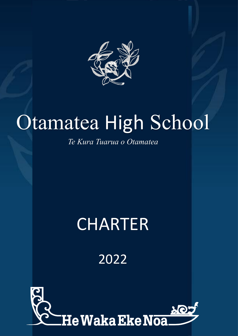

## Otamatea High School

*Te Kura Tuarua o Otamatea*

## CHARTER

2022

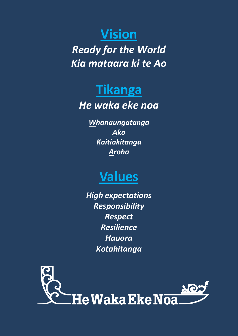#### **Vision**

*Ready for the World Kia mataara ki te Ao*

#### **Tikanga**

#### *He waka eke noa*

*Whanaungatanga Ako Kaitiakitanga Aroha*

#### **Values**

*High expectations Responsibility Respect Resilience Hauora Kotahitanga*

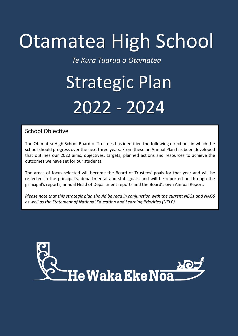## Otamatea High School

*Te Kura Tuarua o Otamatea*

# Strategic Plan 2022 - 2024

#### School Objective

The Otamatea High School Board of Trustees has identified the following directions in which the school should progress over the next three years. From these an Annual Plan has been developed that outlines our 2022 aims, objectives, targets, planned actions and resources to achieve the outcomes we have set for our students.

The areas of focus selected will become the Board of Trustees' goals for that year and will be reflected in the principal's, departmental and staff goals, and will be reported on through the principal's reports, annual Head of Department reports and the Board's own Annual Report.

*Please note that this strategic plan should be read in conjunction with the current NEGs and NAGS as well as the Statement of National Education and Learning Priorities (NELP)*

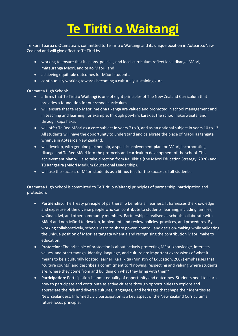### **Te Tiriti o Waitangi**

Te Kura Tuarua o Otamatea is committed to Te Tiriti o Waitangi and its unique position in Aotearoa/New Zealand and will give effect to Te Tiriti by

- working to ensure that its plans, policies, and local curriculum reflect local tikanga Māori, mātauranga Māori, and te ao Māori; and
- achieving equitable outcomes for Māori students.
- continuously working towards becoming a culturally sustaining kura.

Otamatea High School:

- affirms that Te Tiriti o Waitangi is one of eight principles of The New Zealand Curriculum that provides a foundation for our school curriculum.
- will ensure that te reo Māori me ōna tikanga are valued and promoted in school management and in teaching and learning, for example, through pōwhiri, karakia, the school haka/waiata, and through kapa haka.
- will offer Te Reo Māori as a core subject in years 7 to 9, and as an optional subject in years 10 to 13. All students will have the opportunity to understand and celebrate the place of Māori as tangata whenua in Aotearoa New Zealand.
- will develop, with genuine partnership, a specific achievement plan for Māori, incorporating tikanga and Te Reo Māori into the protocols and curriculum development of the school. This achievement plan will also take direction from Ka Hikitia (the Māori Education Strategy, 2020) and Tū Rangatira (Māori Medium Educational Leadership).
- will use the success of Māori students as a litmus test for the success of all students.

Otamatea High School is committed to Te Tiriti o Waitangi principles of partnership, participation and protection.

- **Partnership**: The Treaty principle of partnership benefits all learners. It harnesses the knowledge and expertise of the diverse people who can contribute to students' learning, including families, whānau, iwi, and other community members. Partnership is realised as schools collaborate with Māori and non-Māori to develop, implement, and review policies, practices, and procedures. By working collaboratively, schools learn to share power, control, and decision-making while validating the unique position of Māori as tangata whenua and recognising the contribution Māori make to education.
- **Protection**: The principle of protection is about actively protecting Māori knowledge, interests, values, and other taonga. Identity, language, and culture are important expressions of what it means to be a culturally located learner. Ka Hikitia (Ministry of Education, 2007) emphasises that "culture counts" and describes a commitment to "knowing, respecting and valuing where students are, where they come from and building on what they bring with them"
- **Participation**: Participation is about equality of opportunity and outcomes. Students need to learn how to participate and contribute as active citizens through opportunities to explore and appreciate the rich and diverse cultures, languages, and heritages that shape their identities as New Zealanders. Informed civic participation is a key aspect of the New Zealand Curriculum's future focus principle.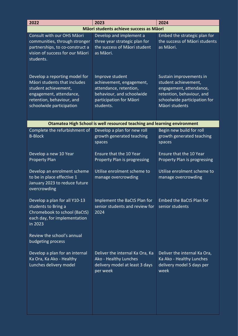| 2022                                                                                                                                                                      | 2023                                                                                                                                       | 2024                                                                                                                                                      |  |
|---------------------------------------------------------------------------------------------------------------------------------------------------------------------------|--------------------------------------------------------------------------------------------------------------------------------------------|-----------------------------------------------------------------------------------------------------------------------------------------------------------|--|
| Māori students achieve success as Māori                                                                                                                                   |                                                                                                                                            |                                                                                                                                                           |  |
| Consult with our OHS Māori<br>communities, through stronger<br>partnerships, to co-construct a<br>vision of success for our Māori<br>students.                            | Develop and implement a<br>three year strategic plan for<br>the success of Māori student<br>as Māori.                                      | Embed the strategic plan for<br>the success of Māori students<br>as Māori.                                                                                |  |
| Develop a reporting model for<br>Māori students that includes<br>student achievement,<br>engagement, attendance,<br>retention, behaviour, and<br>schoolwide participation | Improve student<br>achievement, engagement,<br>attendance, retention,<br>behaviour, and schoolwide<br>participation for Māori<br>students. | Sustain improvements in<br>student achievement,<br>engagement, attendance,<br>retention, behaviour, and<br>schoolwide participation for<br>Māori students |  |
|                                                                                                                                                                           | <b>Otamatea High School is well resourced teaching and learning environment</b>                                                            |                                                                                                                                                           |  |
| Complete the refurbishment of<br><b>B-Block</b>                                                                                                                           | Develop a plan for new roll<br>growth generated teaching<br>spaces                                                                         | Begin new build for roll<br>growth generated teaching<br>spaces                                                                                           |  |
| Develop a new 10 Year<br><b>Property Plan</b>                                                                                                                             | <b>Ensure that the 10 Year</b><br>Property Plan is progressing                                                                             | Ensure that the 10 Year<br>Property Plan is progressing                                                                                                   |  |
| Develop an enrolment scheme<br>to be in place effective 1<br>January 2023 to reduce future<br>overcrowding                                                                | Utilise enrolment scheme to<br>manage overcrowding                                                                                         | Utilise enrolment scheme to<br>manage overcrowding                                                                                                        |  |
| Develop a plan for all Y10-13<br>students to Bring a<br>Chromebook to school (BaCtS)<br>each day, for implementation<br>in 2023                                           | Implement the BaCtS Plan for<br>senior students and review for<br>2024                                                                     | <b>Embed the BaCtS Plan for</b><br>senior students                                                                                                        |  |
| Review the school's annual<br>budgeting process                                                                                                                           |                                                                                                                                            |                                                                                                                                                           |  |
| Develop a plan for an internal<br>Ka Ora, Ka Ako - Healthy<br>Lunches delivery model                                                                                      | Deliver the internal Ka Ora, Ka<br>Ako - Healthy Lunches<br>delivery model at least 3 days<br>per week                                     | Deliver the internal Ka Ora,<br>Ka Ako - Healthy Lunches<br>delivery model 5 days per<br>week                                                             |  |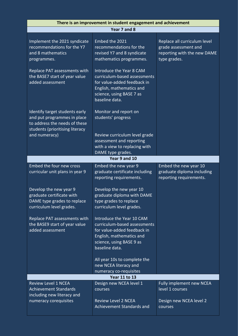| Implement the 2021 syndicate<br>recommendations for the Y7                                                                        | Year 7 and 8<br>Embed the 2021<br>recommendations for the<br>revised Y7 and 8 syndicate<br>mathematics programmes.                                                 | Replace all curriculum level<br>grade assessment and                              |  |  |
|-----------------------------------------------------------------------------------------------------------------------------------|--------------------------------------------------------------------------------------------------------------------------------------------------------------------|-----------------------------------------------------------------------------------|--|--|
|                                                                                                                                   |                                                                                                                                                                    |                                                                                   |  |  |
| and 8 mathematics<br>programmes.                                                                                                  |                                                                                                                                                                    | reporting with the new DAME<br>type grades.                                       |  |  |
| Replace PAT assessments with<br>the BASE7 start of year value<br>added assessment                                                 | Introduce the Year 8 CAM<br>curriculum-based assessments<br>for value-added feedback in<br>English, mathematics and<br>science, using BASE 7 as<br>baseline data.  |                                                                                   |  |  |
| Identify target students early<br>and put programmes in place<br>to address the needs of these<br>students (prioritising literacy | Monitor and report on<br>students' progress                                                                                                                        |                                                                                   |  |  |
| and numeracy)                                                                                                                     | Review curriculum level grade<br>assessment and reporting<br>with a view to replacing with<br>DAME type grades.                                                    |                                                                                   |  |  |
|                                                                                                                                   | Year 9 and 10                                                                                                                                                      |                                                                                   |  |  |
| Embed the four new cross<br>curricular unit plans in year 9                                                                       | Embed the new year 9<br>graduate certificate including<br>reporting requirements.                                                                                  | Embed the new year 10<br>graduate diploma including<br>reporting requirements.    |  |  |
| Develop the new year 9<br>graduate certificate with<br>DAME type grades to replace<br>curriculum level grades.                    | Develop the new year 10<br>graduate diploma with DAME<br>type grades to replace<br>curriculum level grades.                                                        |                                                                                   |  |  |
| Replace PAT assessments with<br>the BASE9 start of year value<br>added assessment                                                 | Introduce the Year 10 CAM<br>curriculum-based assessments<br>for value-added feedback in<br>English, mathematics and<br>science, using BASE 9 as<br>baseline data. |                                                                                   |  |  |
|                                                                                                                                   | All year 10s to complete the<br>new NCEA literacy and<br>numeracy co-requisites                                                                                    |                                                                                   |  |  |
| <b>Year 11 to 13</b>                                                                                                              |                                                                                                                                                                    |                                                                                   |  |  |
| <b>Review Level 1 NCEA</b><br><b>Achievement Standards</b><br>including new literacy and<br>numeracy corequisites                 | Design new NCEA level 1<br>courses<br><b>Review Level 2 NCEA</b><br><b>Achievement Standards and</b>                                                               | Fully implement new NCEA<br>level 1 courses<br>Design new NCEA level 2<br>courses |  |  |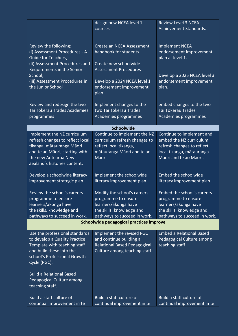|                                                                                                                                                                                                                                                                | design new NCEA level 1<br>courses                                                                                                      | <b>Review Level 3 NCEA</b><br>Achievement Standards.                                                                                      |  |  |
|----------------------------------------------------------------------------------------------------------------------------------------------------------------------------------------------------------------------------------------------------------------|-----------------------------------------------------------------------------------------------------------------------------------------|-------------------------------------------------------------------------------------------------------------------------------------------|--|--|
| Review the following:<br>(i) Assessment Procedures - A<br>Guide for Teachers,<br>(ii) Assessment Procedures and                                                                                                                                                | Create an NCEA Assessment<br>handbook for students<br>Create new schoolwide                                                             | <b>Implement NCEA</b><br>endorsement improvement<br>plan at level 1.                                                                      |  |  |
| Requirements in the Senior<br>School,<br>(iii) Assessment Procedures in<br>the Junior School                                                                                                                                                                   | <b>Assessment Procedures</b><br>Develop a 2024 NCEA level 1<br>endorsement improvement<br>plan.                                         | Develop a 2025 NCEA level 3<br>endorsement improvement<br>plan.                                                                           |  |  |
| Review and redesign the two<br>Tai Tokerau Trades Academies<br>programmes                                                                                                                                                                                      | Implement changes to the<br>two Tai Tokerau Trades<br>Academies programmes                                                              | embed changes to the two<br><b>Tai Tokerau Trades</b><br><b>Academies programmes</b>                                                      |  |  |
|                                                                                                                                                                                                                                                                | Schoolwide                                                                                                                              |                                                                                                                                           |  |  |
| Implement the NZ curriculum<br>refresh changes to reflect local<br>tikanga, mātauranga Māori<br>and te ao Māori, starting with<br>the new Aotearoa New<br>Zealand's histories content.                                                                         | Continue to implement the NZ<br>curriculum refresh changes to<br>reflect local tikanga,<br>mātauranga Māori and te ao<br>Māori.         | Continue to implement and<br>embed the NZ curriculum<br>refresh changes to reflect<br>local tikanga, mātauranga<br>Māori and te ao Māori. |  |  |
| Develop a schoolwide literacy<br>improvement strategic plan.                                                                                                                                                                                                   | Implement the schoolwide<br>literacy improvement plan.                                                                                  | <b>Embed the schoolwide</b><br>literacy improvement plan.                                                                                 |  |  |
| Review the school's careers<br>programme to ensure<br>learners/ākonga have<br>the skills, knowledge and<br>pathways to succeed in work.                                                                                                                        | Modify the school's careers<br>programme to ensure<br>learners/ākonga have<br>the skills, knowledge and<br>pathways to succeed in work. | Embed the school's careers<br>programme to ensure<br>learners/ākonga have<br>the skills, knowledge and<br>pathways to succeed in work.    |  |  |
| Schoolwide pedagogical practices improve                                                                                                                                                                                                                       |                                                                                                                                         |                                                                                                                                           |  |  |
| Use the professional standards<br>to develop a Quality Practice<br>Template with teaching staff<br>and build these into the<br>school's Professional Growth<br>Cycle (PGC).<br><b>Build a Relational Based</b><br>Pedagogical Culture among<br>teaching staff. | Implement the revised PGC<br>and continue building a<br><b>Relational Based Pedagogical</b><br>Culture among teaching staff             | <b>Embed a Relational Based</b><br>Pedagogical Culture among<br>teaching staff                                                            |  |  |
| Build a staff culture of<br>continual improvement in te                                                                                                                                                                                                        | Build a staff culture of<br>continual improvement in te                                                                                 | Build a staff culture of<br>continual improvement in te                                                                                   |  |  |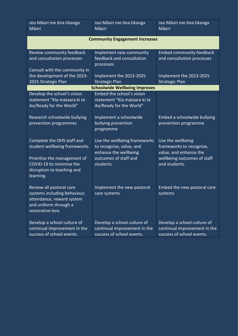| reo Māori me ōna tikanga<br>Māori                                                                                                                                 | reo Māori me ōna tikanga<br>Māori                                                                                       | reo Māori me ona tikanga<br>Māori                                                                                       |  |  |
|-------------------------------------------------------------------------------------------------------------------------------------------------------------------|-------------------------------------------------------------------------------------------------------------------------|-------------------------------------------------------------------------------------------------------------------------|--|--|
| <b>Community Engagement Increases</b>                                                                                                                             |                                                                                                                         |                                                                                                                         |  |  |
| Review community feedback<br>and consultation processes<br>Consult with the community in<br>the development of the 2023-                                          | Implement new community<br>feedback and consultation<br>processes<br>Implement the 2023-2025                            | <b>Embed community feedback</b><br>and consultation processes<br>Implement the 2023-2025                                |  |  |
| 2025 Strategic Plan                                                                                                                                               | <b>Strategic Plan</b>                                                                                                   | <b>Strategic Plan</b>                                                                                                   |  |  |
|                                                                                                                                                                   | <b>Schoolwide Wellbeing Improves</b>                                                                                    |                                                                                                                         |  |  |
| Develop the school's vision<br>statement "Kia mataara ki te<br>Ao/Ready for the World"                                                                            | Embed the school's vision<br>statement "Kia mataara ki te<br>Ao/Ready for the World"                                    |                                                                                                                         |  |  |
| Research schoolwide bullying<br>prevention programmes                                                                                                             | Implement a schoolwide<br>bullying prevention<br>programme                                                              | Embed a schoolwide bullying<br>prevention programme                                                                     |  |  |
| Complete the OHS staff and<br>student wellbeing frameworks<br>Prioritise the management of<br>COVID-19 to minimise the<br>disruption to teaching and<br>learning. | Use the wellbeing frameworks<br>to recognise, value, and<br>enhance the wellbeing<br>outcomes of staff and<br>students. | Use the wellbeing<br>frameworks to recognise,<br>value, and enhance the<br>wellbeing outcomes of staff<br>and students. |  |  |
| Review all pastoral care<br>systems including behaviour,<br>attendance, reward system<br>and uniform through a<br>restorative lens                                | Implement the new pastoral<br>care systems                                                                              | Embed the new pastoral care<br>systems                                                                                  |  |  |
| Develop a school culture of<br>continual improvement in the<br>success of school events.                                                                          | Develop a school culture of<br>continual improvement in the<br>success of school events.                                | Develop a school culture of<br>continual improvement in the<br>success of school events.                                |  |  |